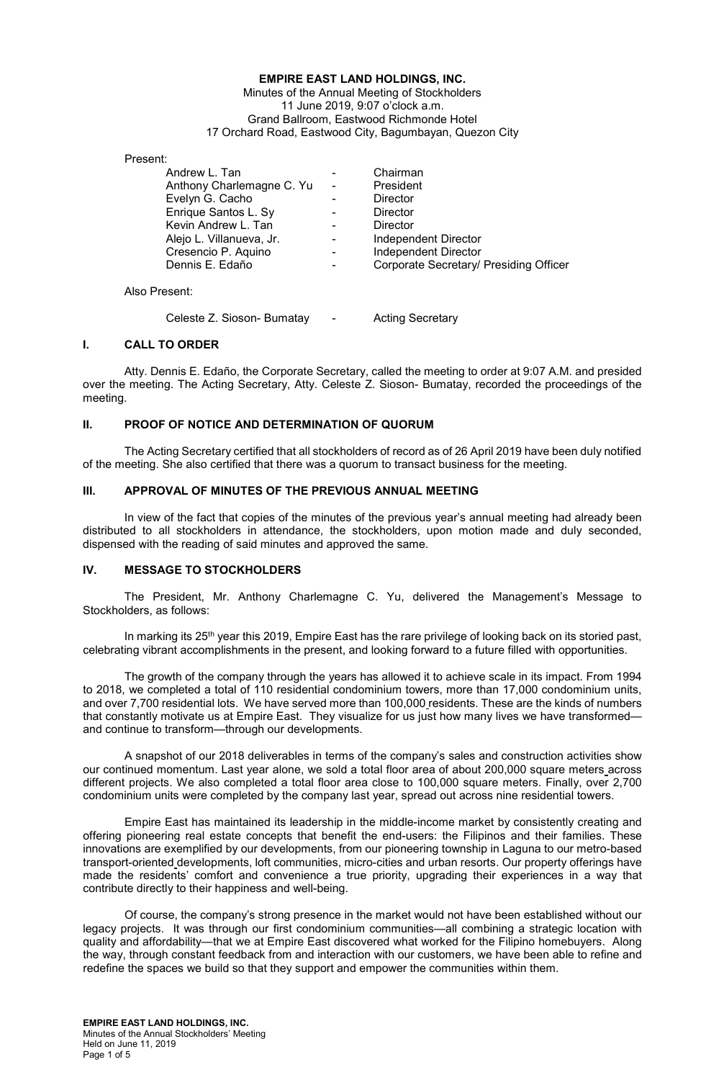#### **EMPIRE EAST LAND HOLDINGS, INC.**  Minutes of the Annual Meeting of Stockholders 11 June 2019, 9:07 o'clock a.m. Grand Ballroom, Eastwood Richmonde Hotel 17 Orchard Road, Eastwood City, Bagumbayan, Quezon City

Present:

| Andrew L. Tan             |                          | Chairman                               |
|---------------------------|--------------------------|----------------------------------------|
| Anthony Charlemagne C. Yu | $\overline{\phantom{0}}$ | President                              |
| Evelyn G. Cacho           |                          | <b>Director</b>                        |
| Enrique Santos L. Sy      | $\overline{\phantom{0}}$ | Director                               |
| Kevin Andrew L. Tan       |                          | <b>Director</b>                        |
| Alejo L. Villanueva, Jr.  |                          | Independent Director                   |
| Cresencio P. Aquino       |                          | <b>Independent Director</b>            |
| Dennis E. Edaño           |                          | Corporate Secretary/ Presiding Officer |
| Also Present:             |                          |                                        |

## **I. CALL TO ORDER**

Atty. Dennis E. Edaño, the Corporate Secretary, called the meeting to order at 9:07 A.M. and presided over the meeting. The Acting Secretary, Atty. Celeste Z. Sioson- Bumatay, recorded the proceedings of the meeting.

## **II. PROOF OF NOTICE AND DETERMINATION OF QUORUM**

 The Acting Secretary certified that all stockholders of record as of 26 April 2019 have been duly notified of the meeting. She also certified that there was a quorum to transact business for the meeting.

# **III. APPROVAL OF MINUTES OF THE PREVIOUS ANNUAL MEETING**

Celeste Z. Sioson- Bumatay - Acting Secretary

In view of the fact that copies of the minutes of the previous year's annual meeting had already been distributed to all stockholders in attendance, the stockholders, upon motion made and duly seconded, dispensed with the reading of said minutes and approved the same.

### **IV. MESSAGE TO STOCKHOLDERS**

The President, Mr. Anthony Charlemagne C. Yu, delivered the Management's Message to Stockholders, as follows:

In marking its 25<sup>th</sup> year this 2019, Empire East has the rare privilege of looking back on its storied past, celebrating vibrant accomplishments in the present, and looking forward to a future filled with opportunities.

The growth of the company through the years has allowed it to achieve scale in its impact. From 1994 to 2018, we completed a total of 110 residential condominium towers, more than 17,000 condominium units, and over 7,700 residential lots. We have served more than 100,000 residents. These are the kinds of numbers that constantly motivate us at Empire East. They visualize for us just how many lives we have transformed and continue to transform—through our developments.

A snapshot of our 2018 deliverables in terms of the company's sales and construction activities show our continued momentum. Last year alone, we sold a total floor area of about 200,000 square meters across different projects. We also completed a total floor area close to 100,000 square meters. Finally, over 2,700 condominium units were completed by the company last year, spread out across nine residential towers.

Empire East has maintained its leadership in the middle-income market by consistently creating and offering pioneering real estate concepts that benefit the end-users: the Filipinos and their families. These innovations are exemplified by our developments, from our pioneering township in Laguna to our metro-based transport-oriented developments, loft communities, micro-cities and urban resorts. Our property offerings have made the residents' comfort and convenience a true priority, upgrading their experiences in a way that contribute directly to their happiness and well-being.

Of course, the company's strong presence in the market would not have been established without our legacy projects. It was through our first condominium communities—all combining a strategic location with quality and affordability—that we at Empire East discovered what worked for the Filipino homebuyers. Along the way, through constant feedback from and interaction with our customers, we have been able to refine and redefine the spaces we build so that they support and empower the communities within them.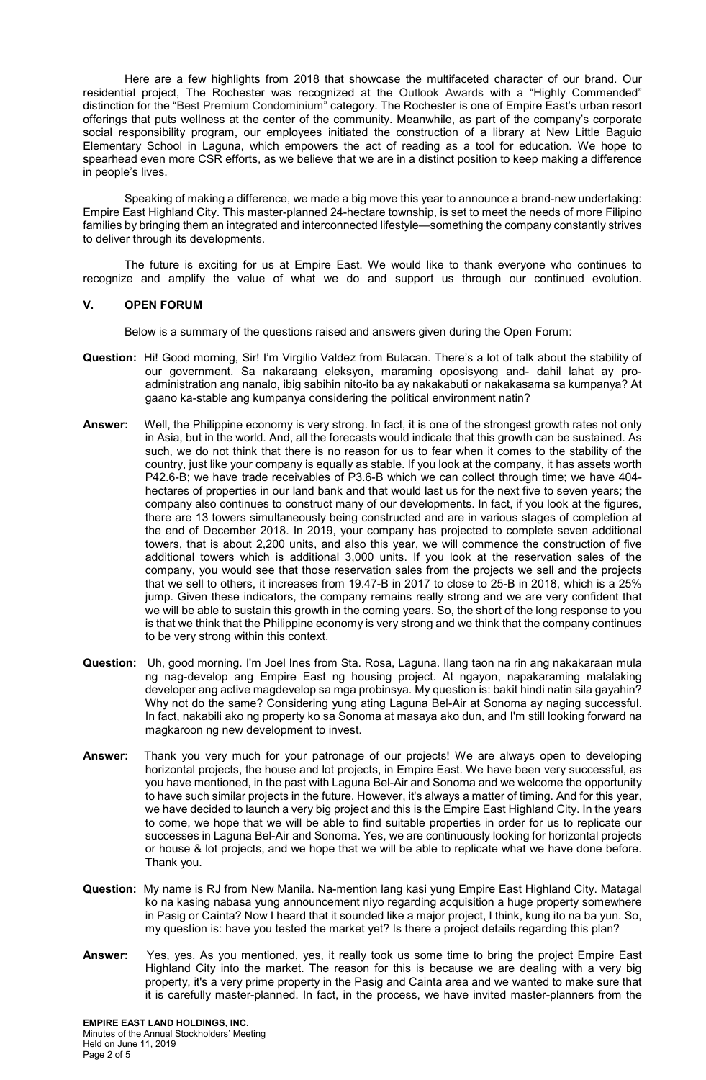Here are a few highlights from 2018 that showcase the multifaceted character of our brand. Our residential project, The Rochester was recognized at the Outlook Awards with a "Highly Commended" distinction for the "Best Premium Condominium" category. The Rochester is one of Empire East's urban resort offerings that puts wellness at the center of the community. Meanwhile, as part of the company's corporate social responsibility program, our employees initiated the construction of a library at New Little Baguio Elementary School in Laguna, which empowers the act of reading as a tool for education. We hope to spearhead even more CSR efforts, as we believe that we are in a distinct position to keep making a difference in people's lives.

Speaking of making a difference, we made a big move this year to announce a brand-new undertaking: Empire East Highland City. This master-planned 24-hectare township, is set to meet the needs of more Filipino families by bringing them an integrated and interconnected lifestyle—something the company constantly strives to deliver through its developments.

The future is exciting for us at Empire East. We would like to thank everyone who continues to recognize and amplify the value of what we do and support us through our continued evolution.

## **V. OPEN FORUM**

Below is a summary of the questions raised and answers given during the Open Forum:

- **Question:** Hi! Good morning, Sir! I'm Virgilio Valdez from Bulacan. There's a lot of talk about the stability of our government. Sa nakaraang eleksyon, maraming oposisyong and- dahil lahat ay proadministration ang nanalo, ibig sabihin nito-ito ba ay nakakabuti or nakakasama sa kumpanya? At gaano ka-stable ang kumpanya considering the political environment natin?
- **Answer:** Well, the Philippine economy is very strong. In fact, it is one of the strongest growth rates not only in Asia, but in the world. And, all the forecasts would indicate that this growth can be sustained. As such, we do not think that there is no reason for us to fear when it comes to the stability of the country, just like your company is equally as stable. If you look at the company, it has assets worth P42.6-B; we have trade receivables of P3.6-B which we can collect through time; we have 404 hectares of properties in our land bank and that would last us for the next five to seven years; the company also continues to construct many of our developments. In fact, if you look at the figures, there are 13 towers simultaneously being constructed and are in various stages of completion at the end of December 2018. In 2019, your company has projected to complete seven additional towers, that is about 2,200 units, and also this year, we will commence the construction of five additional towers which is additional 3,000 units. If you look at the reservation sales of the company, you would see that those reservation sales from the projects we sell and the projects that we sell to others, it increases from 19.47-B in 2017 to close to 25-B in 2018, which is a 25% jump. Given these indicators, the company remains really strong and we are very confident that we will be able to sustain this growth in the coming years. So, the short of the long response to you is that we think that the Philippine economy is very strong and we think that the company continues to be very strong within this context.
- **Question:** Uh, good morning. I'm Joel Ines from Sta. Rosa, Laguna. Ilang taon na rin ang nakakaraan mula ng nag-develop ang Empire East ng housing project. At ngayon, napakaraming malalaking developer ang active magdevelop sa mga probinsya. My question is: bakit hindi natin sila gayahin? Why not do the same? Considering yung ating Laguna Bel-Air at Sonoma ay naging successful. In fact, nakabili ako ng property ko sa Sonoma at masaya ako dun, and I'm still looking forward na magkaroon ng new development to invest.
- **Answer:** Thank you very much for your patronage of our projects! We are always open to developing horizontal projects, the house and lot projects, in Empire East. We have been very successful, as you have mentioned, in the past with Laguna Bel-Air and Sonoma and we welcome the opportunity to have such similar projects in the future. However, it's always a matter of timing. And for this year, we have decided to launch a very big project and this is the Empire East Highland City. In the years to come, we hope that we will be able to find suitable properties in order for us to replicate our successes in Laguna Bel-Air and Sonoma. Yes, we are continuously looking for horizontal projects or house & lot projects, and we hope that we will be able to replicate what we have done before. Thank you.
- **Question:** My name is RJ from New Manila. Na-mention lang kasi yung Empire East Highland City. Matagal ko na kasing nabasa yung announcement niyo regarding acquisition a huge property somewhere in Pasig or Cainta? Now I heard that it sounded like a major project, I think, kung ito na ba yun. So, my question is: have you tested the market yet? Is there a project details regarding this plan?
- **Answer:** Yes, yes. As you mentioned, yes, it really took us some time to bring the project Empire East Highland City into the market. The reason for this is because we are dealing with a very big property, it's a very prime property in the Pasig and Cainta area and we wanted to make sure that it is carefully master-planned. In fact, in the process, we have invited master-planners from the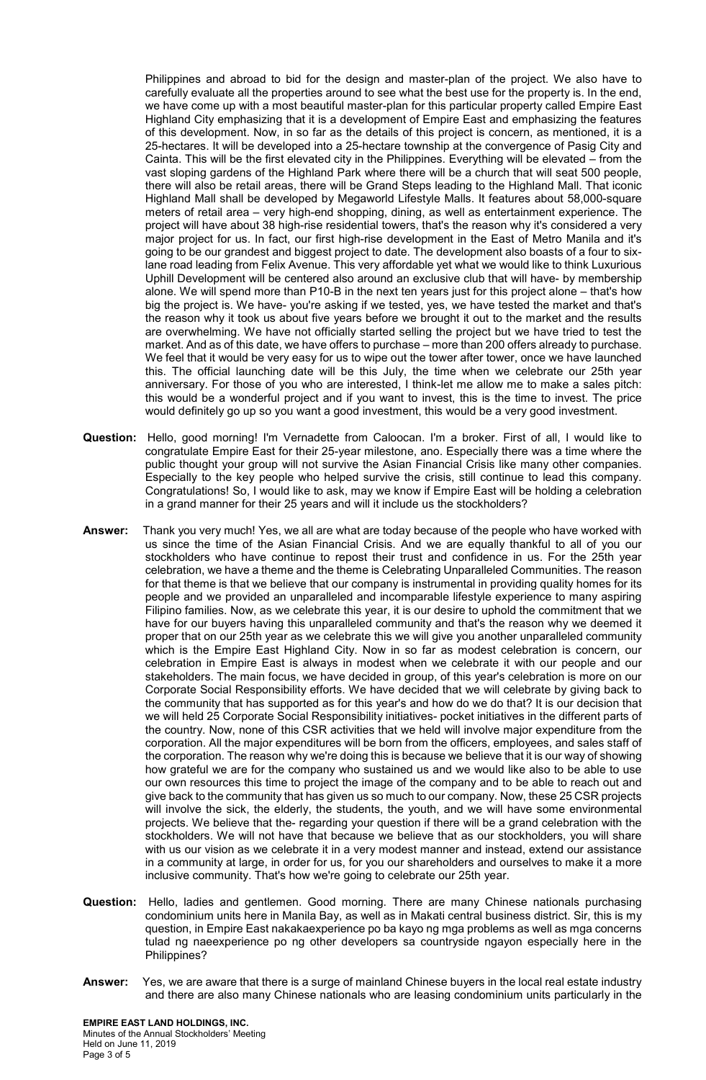Philippines and abroad to bid for the design and master-plan of the project. We also have to carefully evaluate all the properties around to see what the best use for the property is. In the end, we have come up with a most beautiful master-plan for this particular property called Empire East Highland City emphasizing that it is a development of Empire East and emphasizing the features of this development. Now, in so far as the details of this project is concern, as mentioned, it is a 25-hectares. It will be developed into a 25-hectare township at the convergence of Pasig City and Cainta. This will be the first elevated city in the Philippines. Everything will be elevated – from the vast sloping gardens of the Highland Park where there will be a church that will seat 500 people, there will also be retail areas, there will be Grand Steps leading to the Highland Mall. That iconic Highland Mall shall be developed by Megaworld Lifestyle Malls. It features about 58,000-square meters of retail area – very high-end shopping, dining, as well as entertainment experience. The project will have about 38 high-rise residential towers, that's the reason why it's considered a very major project for us. In fact, our first high-rise development in the East of Metro Manila and it's going to be our grandest and biggest project to date. The development also boasts of a four to sixlane road leading from Felix Avenue. This very affordable yet what we would like to think Luxurious Uphill Development will be centered also around an exclusive club that will have- by membership alone. We will spend more than P10-B in the next ten years just for this project alone – that's how big the project is. We have- you're asking if we tested, yes, we have tested the market and that's the reason why it took us about five years before we brought it out to the market and the results are overwhelming. We have not officially started selling the project but we have tried to test the market. And as of this date, we have offers to purchase – more than 200 offers already to purchase. We feel that it would be very easy for us to wipe out the tower after tower, once we have launched this. The official launching date will be this July, the time when we celebrate our 25th year anniversary. For those of you who are interested, I think-let me allow me to make a sales pitch: this would be a wonderful project and if you want to invest, this is the time to invest. The price would definitely go up so you want a good investment, this would be a very good investment.

- **Question:** Hello, good morning! I'm Vernadette from Caloocan. I'm a broker. First of all, I would like to congratulate Empire East for their 25-year milestone, ano. Especially there was a time where the public thought your group will not survive the Asian Financial Crisis like many other companies. Especially to the key people who helped survive the crisis, still continue to lead this company. Congratulations! So, I would like to ask, may we know if Empire East will be holding a celebration in a grand manner for their 25 years and will it include us the stockholders?
- **Answer:** Thank you very much! Yes, we all are what are today because of the people who have worked with us since the time of the Asian Financial Crisis. And we are equally thankful to all of you our stockholders who have continue to repost their trust and confidence in us. For the 25th year celebration, we have a theme and the theme is Celebrating Unparalleled Communities. The reason for that theme is that we believe that our company is instrumental in providing quality homes for its people and we provided an unparalleled and incomparable lifestyle experience to many aspiring Filipino families. Now, as we celebrate this year, it is our desire to uphold the commitment that we have for our buyers having this unparalleled community and that's the reason why we deemed it proper that on our 25th year as we celebrate this we will give you another unparalleled community which is the Empire East Highland City. Now in so far as modest celebration is concern, our celebration in Empire East is always in modest when we celebrate it with our people and our stakeholders. The main focus, we have decided in group, of this year's celebration is more on our Corporate Social Responsibility efforts. We have decided that we will celebrate by giving back to the community that has supported as for this year's and how do we do that? It is our decision that we will held 25 Corporate Social Responsibility initiatives- pocket initiatives in the different parts of the country. Now, none of this CSR activities that we held will involve major expenditure from the corporation. All the major expenditures will be born from the officers, employees, and sales staff of the corporation. The reason why we're doing this is because we believe that it is our way of showing how grateful we are for the company who sustained us and we would like also to be able to use our own resources this time to project the image of the company and to be able to reach out and give back to the community that has given us so much to our company. Now, these 25 CSR projects will involve the sick, the elderly, the students, the youth, and we will have some environmental projects. We believe that the- regarding your question if there will be a grand celebration with the stockholders. We will not have that because we believe that as our stockholders, you will share with us our vision as we celebrate it in a very modest manner and instead, extend our assistance in a community at large, in order for us, for you our shareholders and ourselves to make it a more inclusive community. That's how we're going to celebrate our 25th year.
- **Question:** Hello, ladies and gentlemen. Good morning. There are many Chinese nationals purchasing condominium units here in Manila Bay, as well as in Makati central business district. Sir, this is my question, in Empire East nakakaexperience po ba kayo ng mga problems as well as mga concerns tulad ng naeexperience po ng other developers sa countryside ngayon especially here in the Philippines?
- **Answer:** Yes, we are aware that there is a surge of mainland Chinese buyers in the local real estate industry and there are also many Chinese nationals who are leasing condominium units particularly in the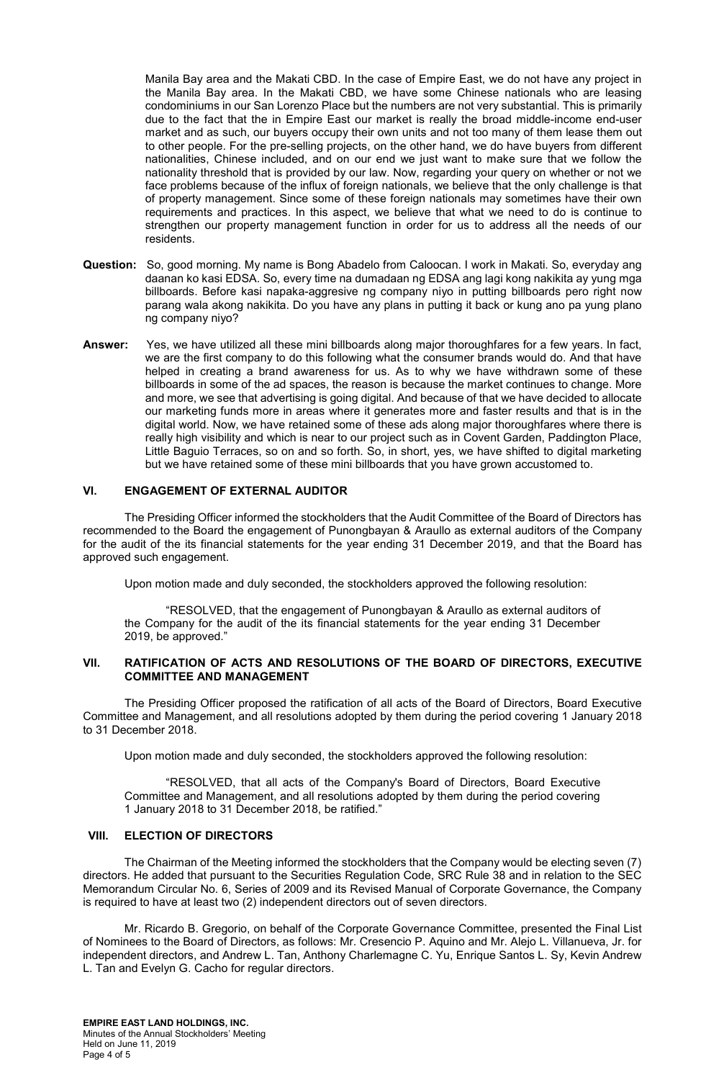Manila Bay area and the Makati CBD. In the case of Empire East, we do not have any project in the Manila Bay area. In the Makati CBD, we have some Chinese nationals who are leasing condominiums in our San Lorenzo Place but the numbers are not very substantial. This is primarily due to the fact that the in Empire East our market is really the broad middle-income end-user market and as such, our buyers occupy their own units and not too many of them lease them out to other people. For the pre-selling projects, on the other hand, we do have buyers from different nationalities, Chinese included, and on our end we just want to make sure that we follow the nationality threshold that is provided by our law. Now, regarding your query on whether or not we face problems because of the influx of foreign nationals, we believe that the only challenge is that of property management. Since some of these foreign nationals may sometimes have their own requirements and practices. In this aspect, we believe that what we need to do is continue to strengthen our property management function in order for us to address all the needs of our residents.

- **Question:** So, good morning. My name is Bong Abadelo from Caloocan. I work in Makati. So, everyday ang daanan ko kasi EDSA. So, every time na dumadaan ng EDSA ang lagi kong nakikita ay yung mga billboards. Before kasi napaka-aggresive ng company niyo in putting billboards pero right now parang wala akong nakikita. Do you have any plans in putting it back or kung ano pa yung plano ng company niyo?
- **Answer:** Yes, we have utilized all these mini billboards along major thoroughfares for a few years. In fact, we are the first company to do this following what the consumer brands would do. And that have helped in creating a brand awareness for us. As to why we have withdrawn some of these billboards in some of the ad spaces, the reason is because the market continues to change. More and more, we see that advertising is going digital. And because of that we have decided to allocate our marketing funds more in areas where it generates more and faster results and that is in the digital world. Now, we have retained some of these ads along major thoroughfares where there is really high visibility and which is near to our project such as in Covent Garden, Paddington Place, Little Baguio Terraces, so on and so forth. So, in short, yes, we have shifted to digital marketing but we have retained some of these mini billboards that you have grown accustomed to.

# **VI. ENGAGEMENT OF EXTERNAL AUDITOR**

The Presiding Officer informed the stockholders that the Audit Committee of the Board of Directors has recommended to the Board the engagement of Punongbayan & Araullo as external auditors of the Company for the audit of the its financial statements for the year ending 31 December 2019, and that the Board has approved such engagement.

Upon motion made and duly seconded, the stockholders approved the following resolution:

"RESOLVED, that the engagement of Punongbayan & Araullo as external auditors of the Company for the audit of the its financial statements for the year ending 31 December 2019, be approved."

### **VII. RATIFICATION OF ACTS AND RESOLUTIONS OF THE BOARD OF DIRECTORS, EXECUTIVE COMMITTEE AND MANAGEMENT**

The Presiding Officer proposed the ratification of all acts of the Board of Directors, Board Executive Committee and Management, and all resolutions adopted by them during the period covering 1 January 2018 to 31 December 2018.

Upon motion made and duly seconded, the stockholders approved the following resolution:

"RESOLVED, that all acts of the Company's Board of Directors, Board Executive Committee and Management, and all resolutions adopted by them during the period covering 1 January 2018 to 31 December 2018, be ratified."

### **VIII. ELECTION OF DIRECTORS**

The Chairman of the Meeting informed the stockholders that the Company would be electing seven (7) directors. He added that pursuant to the Securities Regulation Code, SRC Rule 38 and in relation to the SEC Memorandum Circular No. 6, Series of 2009 and its Revised Manual of Corporate Governance, the Company is required to have at least two (2) independent directors out of seven directors.

Mr. Ricardo B. Gregorio, on behalf of the Corporate Governance Committee, presented the Final List of Nominees to the Board of Directors, as follows: Mr. Cresencio P. Aquino and Mr. Alejo L. Villanueva, Jr. for independent directors, and Andrew L. Tan, Anthony Charlemagne C. Yu, Enrique Santos L. Sy, Kevin Andrew L. Tan and Evelyn G. Cacho for regular directors.